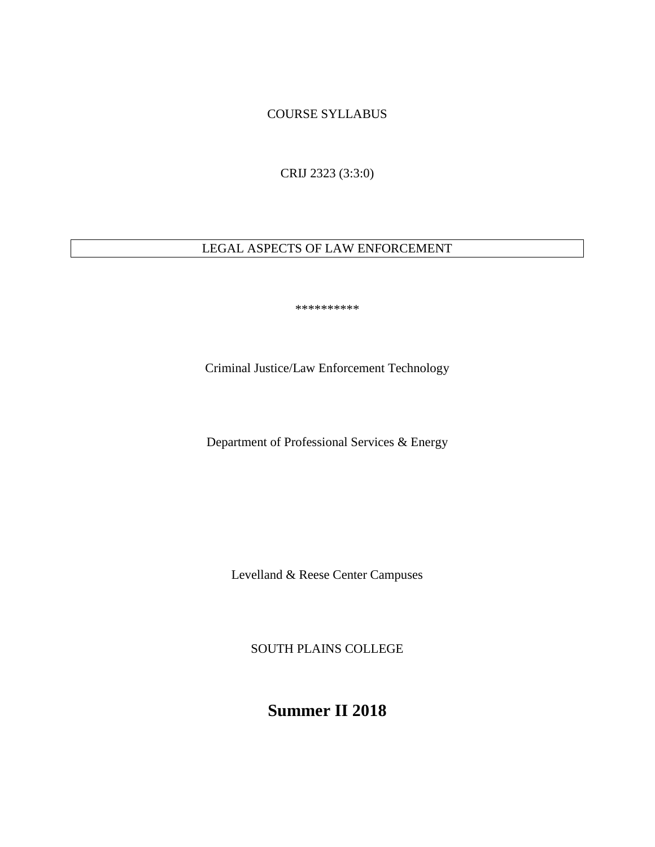## COURSE SYLLABUS

CRIJ 2323 (3:3:0)

# LEGAL ASPECTS OF LAW ENFORCEMENT

\*\*\*\*\*\*\*\*\*\*

Criminal Justice/Law Enforcement Technology

Department of Professional Services & Energy

Levelland & Reese Center Campuses

SOUTH PLAINS COLLEGE

**Summer II 2018**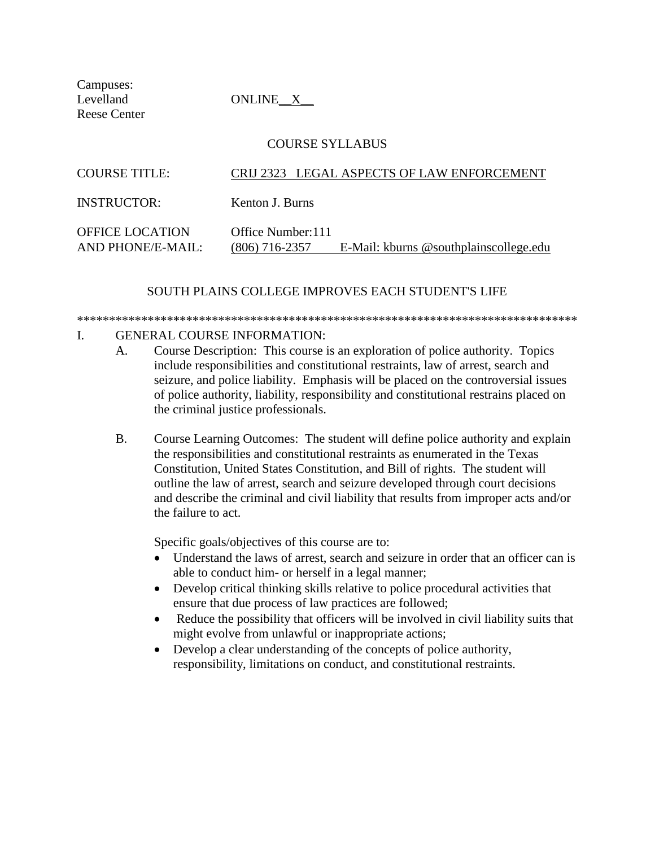Campuses: Reese Center

Levelland ONLINE\_X\_

|  | <b>COURSE SYLLABUS</b> |
|--|------------------------|
|--|------------------------|

| <b>COURSE TITLE:</b>                        | CRIJ 2323 LEGAL ASPECTS OF LAW ENFORCEMENT                                     |  |
|---------------------------------------------|--------------------------------------------------------------------------------|--|
| <b>INSTRUCTOR:</b>                          | Kenton J. Burns                                                                |  |
| <b>OFFICE LOCATION</b><br>AND PHONE/E-MAIL: | Office Number: 111<br>E-Mail: kburns @southplainscollege.edu<br>(806) 716-2357 |  |

### SOUTH PLAINS COLLEGE IMPROVES EACH STUDENT'S LIFE

# \*\*\*\*\*\*\*\*\*\*\*\*\*\*\*\*\*\*\*\*\*\*\*\*\*\*\*\*\*\*\*\*\*\*\*\*\*\*\*\*\*\*\*\*\*\*\*\*\*\*\*\*\*\*\*\*\*\*\*\*\*\*\*\*\*\*\*\*\*\*\*\*\*\*\*\*\*\*

#### I. GENERAL COURSE INFORMATION:

- A. Course Description: This course is an exploration of police authority. Topics include responsibilities and constitutional restraints, law of arrest, search and seizure, and police liability. Emphasis will be placed on the controversial issues of police authority, liability, responsibility and constitutional restrains placed on the criminal justice professionals.
- B. Course Learning Outcomes: The student will define police authority and explain the responsibilities and constitutional restraints as enumerated in the Texas Constitution, United States Constitution, and Bill of rights. The student will outline the law of arrest, search and seizure developed through court decisions and describe the criminal and civil liability that results from improper acts and/or the failure to act.

Specific goals/objectives of this course are to:

- Understand the laws of arrest, search and seizure in order that an officer can is able to conduct him- or herself in a legal manner;
- Develop critical thinking skills relative to police procedural activities that ensure that due process of law practices are followed;
- Reduce the possibility that officers will be involved in civil liability suits that might evolve from unlawful or inappropriate actions;
- Develop a clear understanding of the concepts of police authority, responsibility, limitations on conduct, and constitutional restraints.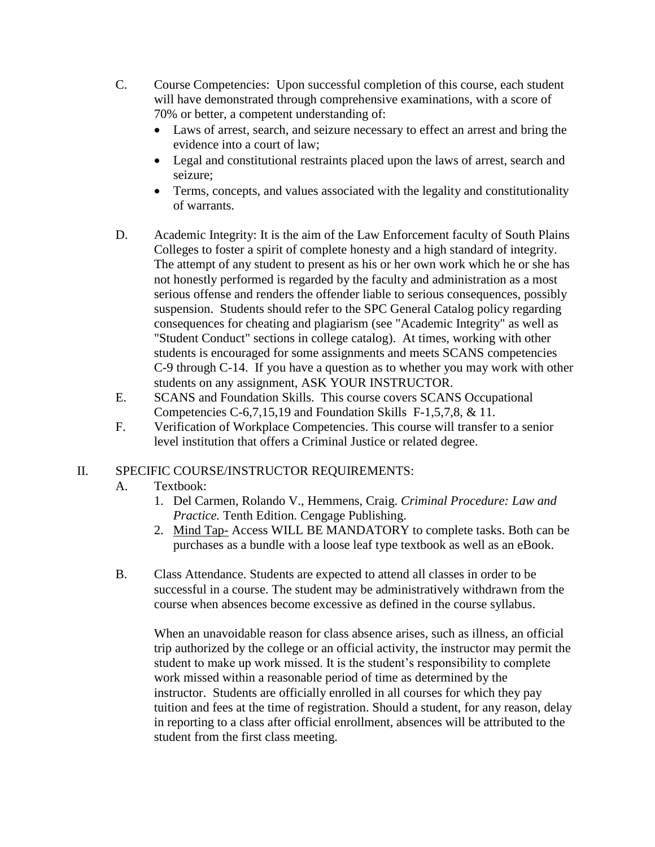- C. Course Competencies: Upon successful completion of this course, each student will have demonstrated through comprehensive examinations, with a score of 70% or better, a competent understanding of:
	- Laws of arrest, search, and seizure necessary to effect an arrest and bring the evidence into a court of law;
	- Legal and constitutional restraints placed upon the laws of arrest, search and seizure;
	- Terms, concepts, and values associated with the legality and constitutionality of warrants.
- D. Academic Integrity: It is the aim of the Law Enforcement faculty of South Plains Colleges to foster a spirit of complete honesty and a high standard of integrity. The attempt of any student to present as his or her own work which he or she has not honestly performed is regarded by the faculty and administration as a most serious offense and renders the offender liable to serious consequences, possibly suspension. Students should refer to the SPC General Catalog policy regarding consequences for cheating and plagiarism (see "Academic Integrity" as well as "Student Conduct" sections in college catalog). At times, working with other students is encouraged for some assignments and meets SCANS competencies C-9 through C-14. If you have a question as to whether you may work with other students on any assignment, ASK YOUR INSTRUCTOR.
- E. SCANS and Foundation Skills. This course covers SCANS Occupational Competencies C-6,7,15,19 and Foundation Skills F-1,5,7,8, & 11.
- F. Verification of Workplace Competencies. This course will transfer to a senior level institution that offers a Criminal Justice or related degree.

# II. SPECIFIC COURSE/INSTRUCTOR REQUIREMENTS:

- A. Textbook:
	- 1. Del Carmen, Rolando V., Hemmens, Craig. *Criminal Procedure: Law and Practice.* Tenth Edition. Cengage Publishing.
	- 2. Mind Tap- Access WILL BE MANDATORY to complete tasks. Both can be purchases as a bundle with a loose leaf type textbook as well as an eBook.
- B. Class Attendance. Students are expected to attend all classes in order to be successful in a course. The student may be administratively withdrawn from the course when absences become excessive as defined in the course syllabus.

When an unavoidable reason for class absence arises, such as illness, an official trip authorized by the college or an official activity, the instructor may permit the student to make up work missed. It is the student's responsibility to complete work missed within a reasonable period of time as determined by the instructor. Students are officially enrolled in all courses for which they pay tuition and fees at the time of registration. Should a student, for any reason, delay in reporting to a class after official enrollment, absences will be attributed to the student from the first class meeting.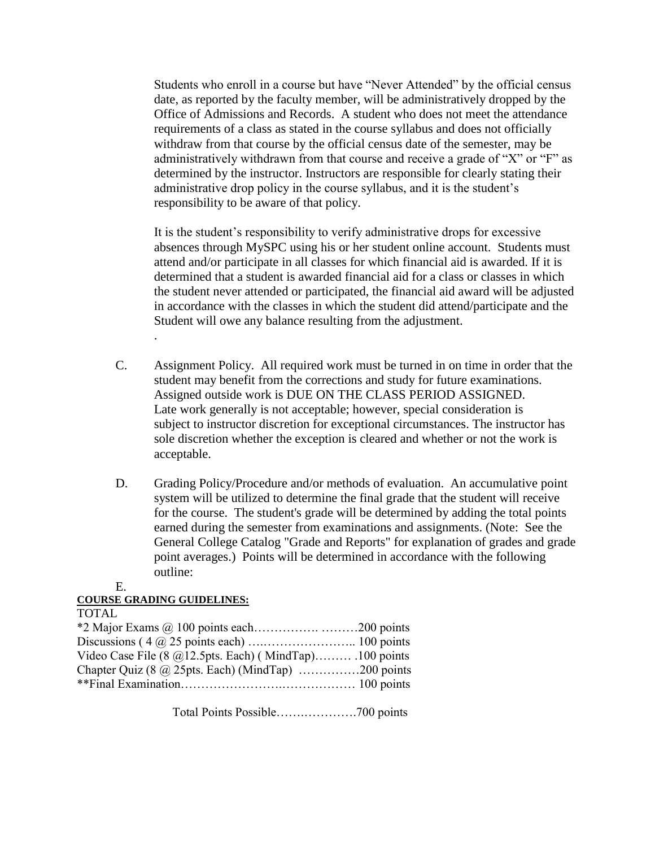Students who enroll in a course but have "Never Attended" by the official census date, as reported by the faculty member, will be administratively dropped by the Office of Admissions and Records. A student who does not meet the attendance requirements of a class as stated in the course syllabus and does not officially withdraw from that course by the official census date of the semester, may be administratively withdrawn from that course and receive a grade of "X" or "F" as determined by the instructor. Instructors are responsible for clearly stating their administrative drop policy in the course syllabus, and it is the student's responsibility to be aware of that policy.

It is the student's responsibility to verify administrative drops for excessive absences through MySPC using his or her student online account. Students must attend and/or participate in all classes for which financial aid is awarded. If it is determined that a student is awarded financial aid for a class or classes in which the student never attended or participated, the financial aid award will be adjusted in accordance with the classes in which the student did attend/participate and the Student will owe any balance resulting from the adjustment.

- C. Assignment Policy. All required work must be turned in on time in order that the student may benefit from the corrections and study for future examinations. Assigned outside work is DUE ON THE CLASS PERIOD ASSIGNED. Late work generally is not acceptable; however, special consideration is subject to instructor discretion for exceptional circumstances. The instructor has sole discretion whether the exception is cleared and whether or not the work is acceptable.
- D. Grading Policy/Procedure and/or methods of evaluation. An accumulative point system will be utilized to determine the final grade that the student will receive for the course. The student's grade will be determined by adding the total points earned during the semester from examinations and assignments. (Note: See the General College Catalog "Grade and Reports" for explanation of grades and grade point averages.) Points will be determined in accordance with the following outline:

E.

#### **COURSE GRADING GUIDELINES:**

.

| <b>TOTAL</b>                                               |  |
|------------------------------------------------------------|--|
|                                                            |  |
|                                                            |  |
| Video Case File (8 $@12.5$ pts. Each) (MindTap) 100 points |  |
| Chapter Quiz (8 $\omega$ 25pts. Each) (MindTap) 200 points |  |
|                                                            |  |
|                                                            |  |

Total Points Possible…….………….700 points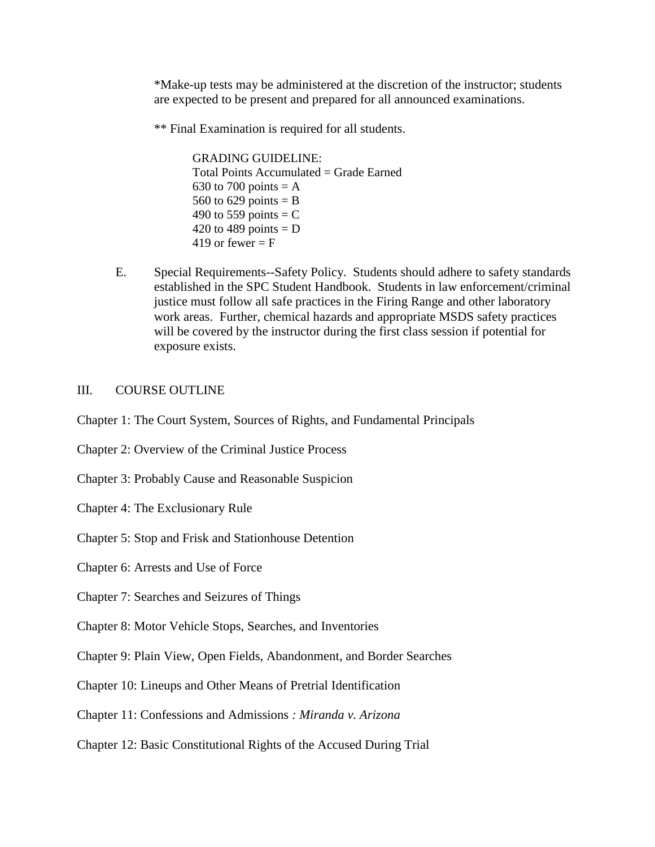\*Make-up tests may be administered at the discretion of the instructor; students are expected to be present and prepared for all announced examinations.

\*\* Final Examination is required for all students.

GRADING GUIDELINE: Total Points Accumulated = Grade Earned 630 to 700 points  $= A$ 560 to 629 points  $=$  B 490 to 559 points  $=$  C 420 to 489 points  $= D$ 419 or fewer  $=$  F

E. Special Requirements--Safety Policy. Students should adhere to safety standards established in the SPC Student Handbook. Students in law enforcement/criminal justice must follow all safe practices in the Firing Range and other laboratory work areas. Further, chemical hazards and appropriate MSDS safety practices will be covered by the instructor during the first class session if potential for exposure exists.

#### III. COURSE OUTLINE

- Chapter 1: The Court System, Sources of Rights, and Fundamental Principals
- Chapter 2: Overview of the Criminal Justice Process
- Chapter 3: Probably Cause and Reasonable Suspicion
- Chapter 4: The Exclusionary Rule
- Chapter 5: Stop and Frisk and Stationhouse Detention
- Chapter 6: Arrests and Use of Force
- Chapter 7: Searches and Seizures of Things
- Chapter 8: Motor Vehicle Stops, Searches, and Inventories
- Chapter 9: Plain View, Open Fields, Abandonment, and Border Searches
- Chapter 10: Lineups and Other Means of Pretrial Identification
- Chapter 11: Confessions and Admissions *: Miranda v. Arizona*
- Chapter 12: Basic Constitutional Rights of the Accused During Trial